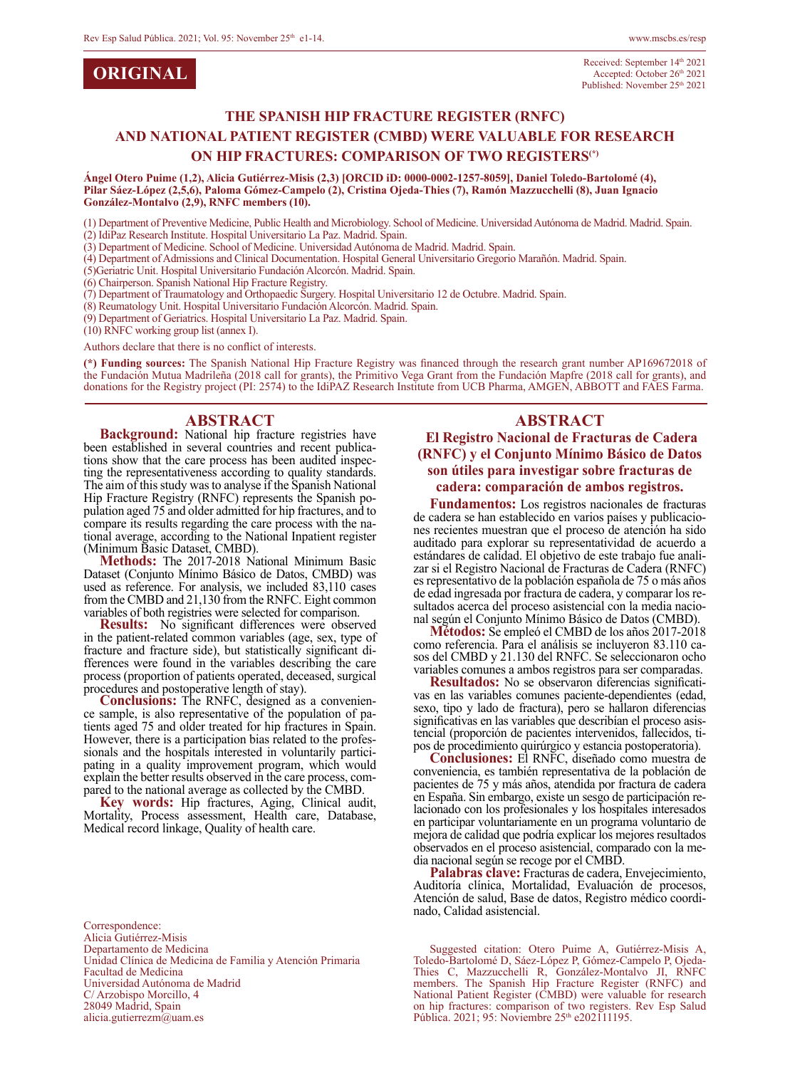| <b>ORIGINAL</b> |  |
|-----------------|--|
|-----------------|--|

#### **THE SPANISH HIP FRACTURE REGISTER (RNFC) AND NATIONAL PATIENT REGISTER (CMBD) WERE VALUABLE FOR RESEARCH ON HIP FRACTURES: COMPARISON OF TWO REGISTERS(\*)**

**Ángel Otero Puime (1,2), Alicia Gutiérrez-Misis (2,3) [ORCID iD: 0000-0002-1257-8059], Daniel Toledo-Bartolomé (4), Pilar Sáez-López (2,5,6), Paloma Gómez-Campelo (2), Cristina Ojeda-Thies (7), Ramón Mazzucchelli (8), Juan Ignacio González-Montalvo (2,9), RNFC members (10).**

(1) Department of Preventive Medicine, Public Health and Microbiology. School of Medicine. Universidad Autónoma de Madrid. Madrid. Spain. (2) IdiPaz Research Institute. Hospital Universitario La Paz. Madrid. Spain.

(3) Department of Medicine. School of Medicine. Universidad Autónoma de Madrid. Madrid. Spain.

(4) Department of Admissions and Clinical Documentation. Hospital General Universitario Gregorio Marañón. Madrid. Spain.

(5)Geriatric Unit. Hospital Universitario Fundación Alcorcón. Madrid. Spain.

(6) Chairperson. Spanish National Hip Fracture Registry.

(7) Department of Traumatology and Orthopaedic Surgery. Hospital Universitario 12 de Octubre. Madrid. Spain.

(8) Reumatology Unit. Hospital Universitario Fundación Alcorcón. Madrid. Spain.

(9) Department of Geriatrics. Hospital Universitario La Paz. Madrid. Spain.

(10) RNFC working group list (annex I).

Authors declare that there is no conflict of interests.

**(\*) Funding sources:** The Spanish National Hip Fracture Registry was financed through the research grant number AP169672018 of the Fundación Mutua Madrileña (2018 call for grants), the Primitivo Vega Grant from the Fundación Mapfre (2018 call for grants), and donations for the Registry project (PI: 2574) to the IdiPAZ Research Institute from UCB Pharma, AMGEN, ABBOTT and FAES Farma.

#### **ABSTRACT**

**Background:** National hip fracture registries have been established in several countries and recent publications show that the care process has been audited inspec-<br>ting the representativeness according to quality standards. The aim of this study was to analyse if the Spanish National Hip Fracture Registry (RNFC) represents the Spanish po-<br>pulation aged 75 and older admitted for hip fractures, and to<br>compare its results regarding the care process with the national average, according to the National Inpatient register

(Minimum Basic Dataset, CMBD). **Methods:** The 2017-2018 National Minimum Basic Dataset (Conjunto Mínimo Básico de Datos, CMBD) was used as reference. For analysis, we included 83,110 cases from the CMBD and 21,130 from the RNFC. Eight common variables of both registries were selected for comparison.

**Results:** No significant differences were observed in the patient-related common variables (age, sex, type of fracture and fracture side), but statistically significant differences were found in the variables describing the care process (proportion of patients operated, deceased, surgical

**Conclusions:** The RNFC, designed as a convenience sample, is also representative of the population of patients aged 75 and older treated for hip fractures in Spain. However, there is a participation bias related to the pr sionals and the hospitals interested in voluntarily partici-<br>pating in a quality improvement program, which would explain the better results observed in the care process, com-<br>pared to the national average as collected by the CMBD.

**Key words:** Hip fractures, Aging, Clinical audit, Mortality, Process assessment, Health care, Database, Medical record linkage, Quality of health care.

Correspondence: Alicia Gutiérrez-Misis Departamento de Medicina Unidad Clínica de Medicina de Familia y Atención Primaria Facultad de Medicina Universidad Autónoma de Madrid C/ Arzobispo Morcillo, 4

28049 Madrid, Spain alicia.gutierrezm@uam.es

#### **ABSTRACT**

#### **El Registro Nacional de Fracturas de Cadera (RNFC) y el Conjunto Mínimo Básico de Datos son útiles para investigar sobre fracturas de cadera: comparación de ambos registros.**

**Fundamentos:** Los registros nacionales de fracturas de cadera se han establecido en varios países y publicaciones recientes muestran que el proceso de atención ha sido auditado para explorar su representatividad de acuerdo a estándares de calidad. El objetivo de este trabajo fue anali- zar si el Registro Nacional de Fracturas de Cadera (RNFC) es representativo de la población española de 75 o más años

sultados acerca del proceso asistencial con la media nacio-<br>nal según el Conjunto Mínimo Básico de Datos (CMBD).<br>**Métodos:** Se empleó el CMBD de los años 2017-2018<br>como referencia. Para el análisis se incluyeron 83.110 casos del CMBD y 21.130 del RNFC. Se seleccionaron ocho variables comunes a ambos registros para ser comparadas.<br>Resultados: No se observaron diferencias significati-

vas en las variables comunes paciente-dependientes (edad, sexo, tipo y lado de fractura), pero se hallaron diferencias significativas en las variables que describían el proceso asistencial (proporción de pacientes intervenidos, fallecidos, ti-<br>pos de procedimiento quirúrgico y estancia postoperatoria).<br>**Conclusiones:** El RNFC, diseñado como muestra de

conveniencia, es también representativa de la población de pacientes de 75 y más años, atendida por fractura de cadera lacionado con los profesionales y los hospitales interesados en participar voluntariamente en un programa voluntario de mejora de calidad que podría explicar los mejores resultados observados en el proceso asistencial, comparado con la me- dia nacional según se recoge por el CMBD.

**Palabras clave:** Fracturas de cadera, Envejecimiento, Auditoría clínica, Mortalidad, Evaluación de procesos, Atención de salud, Base de datos, Registro médico coordi- nado, Calidad asistencial.

Suggested citation: Otero Puime A, Gutiérrez-Misis A, Toledo-Bartolomé D, Sáez-López P, Gómez-Campelo P, Ojeda-Thies C, Mazzucchelli R, González-Montalvo JI, RNFC members. The Spanish Hip Fracture Register (RNFC) and National Patient Register (CMBD) were valuable for research on hip fractures: comparison of two registers. Rev Esp Salud Pública. 2021; 95: Noviembre 25<sup>th</sup> e202111195.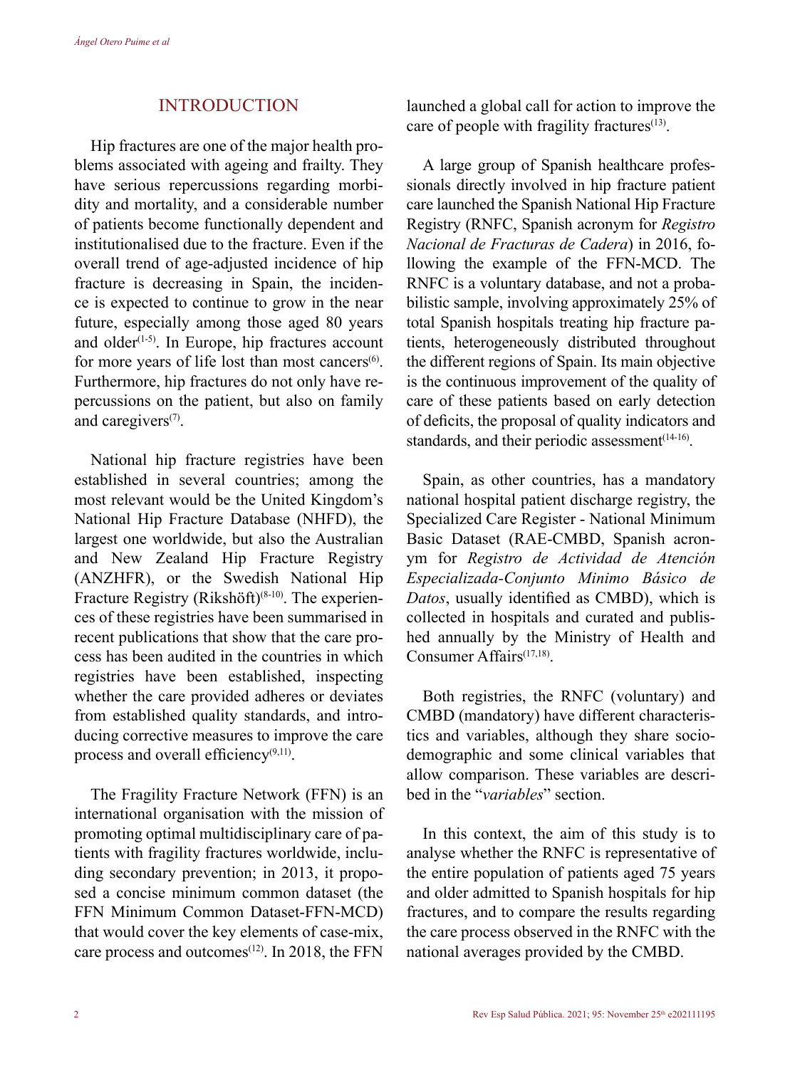# INTRODUCTION

Hip fractures are one of the major health problems associated with ageing and frailty. They have serious repercussions regarding morbidity and mortality, and a considerable number of patients become functionally dependent and institutionalised due to the fracture. Even if the overall trend of age-adjusted incidence of hip fracture is decreasing in Spain, the incidence is expected to continue to grow in the near future, especially among those aged 80 years and older $(1-5)$ . In Europe, hip fractures account for more years of life lost than most cancers $<sup>(6)</sup>$ .</sup> Furthermore, hip fractures do not only have repercussions on the patient, but also on family and caregivers<sup>(7)</sup>.

National hip fracture registries have been established in several countries; among the most relevant would be the United Kingdom's National Hip Fracture Database (NHFD), the largest one worldwide, but also the Australian and New Zealand Hip Fracture Registry (ANZHFR), or the Swedish National Hip Fracture Registry (Rikshöft)<sup>(8-10)</sup>. The experiences of these registries have been summarised in recent publications that show that the care process has been audited in the countries in which registries have been established, inspecting whether the care provided adheres or deviates from established quality standards, and introducing corrective measures to improve the care process and overall efficiency $(9,11)$ .

The Fragility Fracture Network (FFN) is an international organisation with the mission of promoting optimal multidisciplinary care of patients with fragility fractures worldwide, including secondary prevention; in 2013, it proposed a concise minimum common dataset (the FFN Minimum Common Dataset-FFN-MCD) that would cover the key elements of case-mix, care process and outcomes<sup>(12)</sup>. In 2018, the FFN

launched a global call for action to improve the care of people with fragility fractures $(13)$ .

A large group of Spanish healthcare professionals directly involved in hip fracture patient care launched the Spanish National Hip Fracture Registry (RNFC, Spanish acronym for *Registro Nacional de Fracturas de Cadera*) in 2016, following the example of the FFN-MCD. The RNFC is a voluntary database, and not a probabilistic sample, involving approximately 25% of total Spanish hospitals treating hip fracture patients, heterogeneously distributed throughout the different regions of Spain. Its main objective is the continuous improvement of the quality of care of these patients based on early detection of deficits, the proposal of quality indicators and standards, and their periodic assessment $(14-16)$ .

Spain, as other countries, has a mandatory national hospital patient discharge registry, the Specialized Care Register - National Minimum Basic Dataset (RAE-CMBD, Spanish acronym for *Registro de Actividad de Atención Especializada-Conjunto Minimo Básico de Datos*, usually identified as CMBD), which is collected in hospitals and curated and published annually by the Ministry of Health and Consumer Affairs(17,18).

Both registries, the RNFC (voluntary) and CMBD (mandatory) have different characteristics and variables, although they share sociodemographic and some clinical variables that allow comparison. These variables are described in the "*variables*" section.

In this context, the aim of this study is to analyse whether the RNFC is representative of the entire population of patients aged 75 years and older admitted to Spanish hospitals for hip fractures, and to compare the results regarding the care process observed in the RNFC with the national averages provided by the CMBD.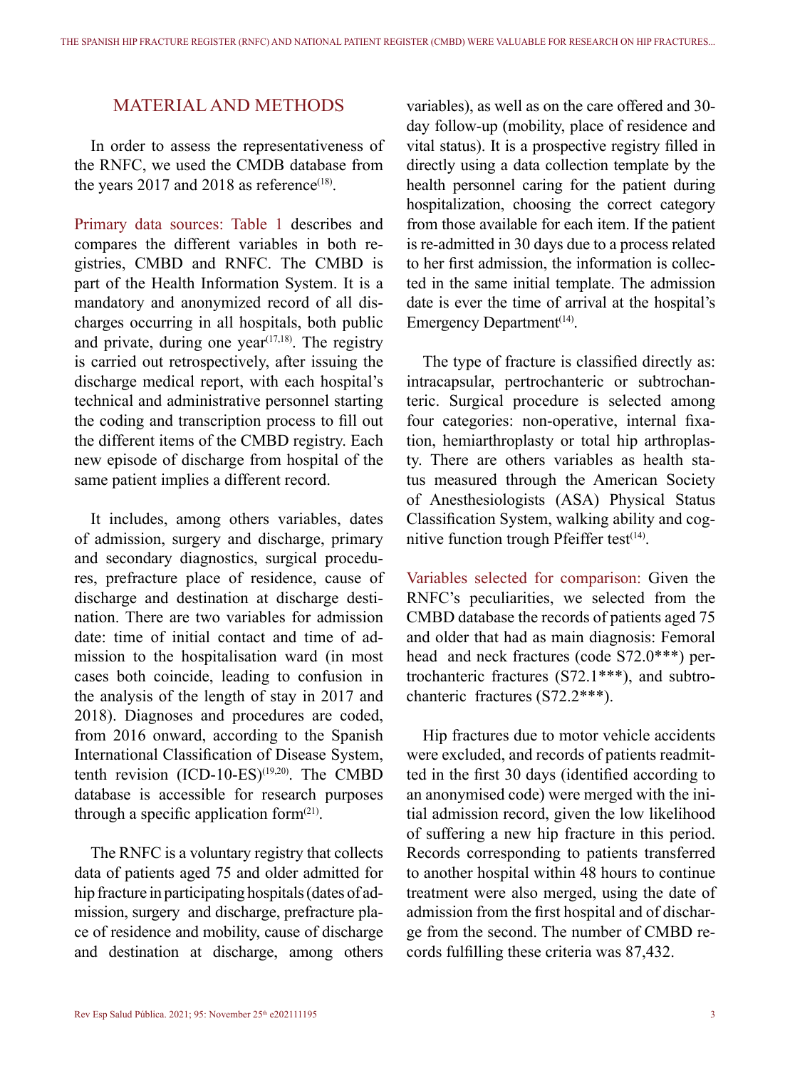# MATERIAL AND METHODS

In order to assess the representativeness of the RNFC, we used the CMDB database from the years 2017 and 2018 as reference<sup>(18)</sup>.

Primary data sources: Table 1 describes and compares the different variables in both registries, CMBD and RNFC. The CMBD is part of the Health Information System. It is a mandatory and anonymized record of all discharges occurring in all hospitals, both public and private, during one year<sup> $(17,18)$ </sup>. The registry is carried out retrospectively, after issuing the discharge medical report, with each hospital's technical and administrative personnel starting the coding and transcription process to fill out the different items of the CMBD registry. Each new episode of discharge from hospital of the same patient implies a different record.

It includes, among others variables, dates of admission, surgery and discharge, primary and secondary diagnostics, surgical procedures, prefracture place of residence, cause of discharge and destination at discharge destination. There are two variables for admission date: time of initial contact and time of admission to the hospitalisation ward (in most cases both coincide, leading to confusion in the analysis of the length of stay in 2017 and 2018). Diagnoses and procedures are coded, from 2016 onward, according to the Spanish International Classification of Disease System, tenth revision (ICD-10-ES)<sup>(19,20)</sup>. The CMBD database is accessible for research purposes through a specific application form $(21)$ .

The RNFC is a voluntary registry that collects data of patients aged 75 and older admitted for hip fracture in participating hospitals (dates of admission, surgery and discharge, prefracture place of residence and mobility, cause of discharge and destination at discharge, among others

variables), as well as on the care offered and 30 day follow-up (mobility, place of residence and vital status). It is a prospective registry filled in directly using a data collection template by the health personnel caring for the patient during hospitalization, choosing the correct category from those available for each item. If the patient is re-admitted in 30 days due to a process related to her first admission, the information is collected in the same initial template. The admission date is ever the time of arrival at the hospital's Emergency Department $(14)$ .

The type of fracture is classified directly as: intracapsular, pertrochanteric or subtrochanteric. Surgical procedure is selected among four categories: non-operative, internal fixation, hemiarthroplasty or total hip arthroplasty. There are others variables as health status measured through the American Society of Anesthesiologists (ASA) Physical Status Classification System, walking ability and cognitive function trough Pfeiffer test $(14)$ .

Variables selected for comparison: Given the RNFC's peculiarities, we selected from the CMBD database the records of patients aged 75 and older that had as main diagnosis: Femoral head and neck fractures (code S72.0\*\*\*) pertrochanteric fractures (S72.1\*\*\*), and subtrochanteric fractures (S72.2\*\*\*).

Hip fractures due to motor vehicle accidents were excluded, and records of patients readmitted in the first 30 days (identified according to an anonymised code) were merged with the initial admission record, given the low likelihood of suffering a new hip fracture in this period. Records corresponding to patients transferred to another hospital within 48 hours to continue treatment were also merged, using the date of admission from the first hospital and of discharge from the second. The number of CMBD records fulfilling these criteria was 87,432.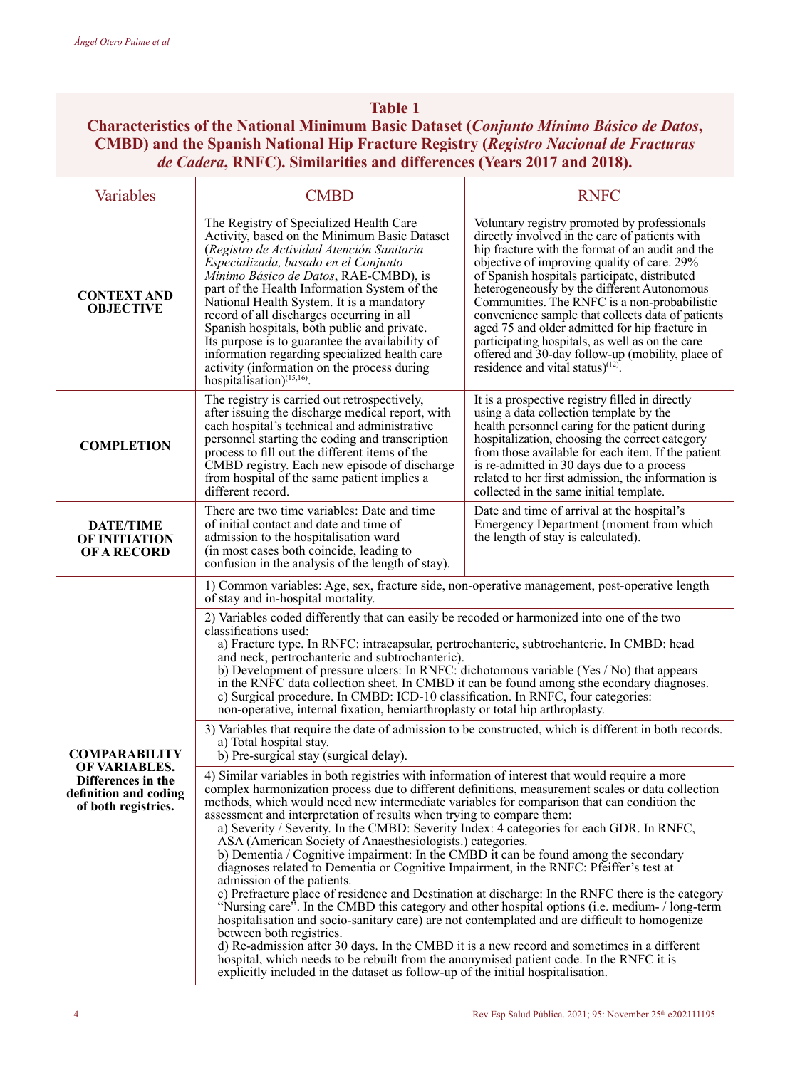#### **Table 1**

**Characteristics of the National Minimum Basic Dataset (***Conjunto Mínimo Básico de Datos***, CMBD) and the Spanish National Hip Fracture Registry (***Registro Nacional de Fracturas de Cadera***, RNFC). Similarities and differences (Years 2017 and 2018).**

| Variables                                                                           | <b>CMBD</b>                                                                                                                                                                                                                                                                                                                                                                                                                                                                                                                                                                                                                                                                                                                                                                                                                                                                                                                                                                                                                                                                                                                                                                                                                                                                                                                                                        | <b>RNFC</b>                                                                                                                                                                                                                                                                                                                                                                                                                                                                                                                                                                                                      |  |  |  |
|-------------------------------------------------------------------------------------|--------------------------------------------------------------------------------------------------------------------------------------------------------------------------------------------------------------------------------------------------------------------------------------------------------------------------------------------------------------------------------------------------------------------------------------------------------------------------------------------------------------------------------------------------------------------------------------------------------------------------------------------------------------------------------------------------------------------------------------------------------------------------------------------------------------------------------------------------------------------------------------------------------------------------------------------------------------------------------------------------------------------------------------------------------------------------------------------------------------------------------------------------------------------------------------------------------------------------------------------------------------------------------------------------------------------------------------------------------------------|------------------------------------------------------------------------------------------------------------------------------------------------------------------------------------------------------------------------------------------------------------------------------------------------------------------------------------------------------------------------------------------------------------------------------------------------------------------------------------------------------------------------------------------------------------------------------------------------------------------|--|--|--|
| <b>CONTEXT AND</b><br><b>OBJECTIVE</b>                                              | The Registry of Specialized Health Care<br>Activity, based on the Minimum Basic Dataset<br>(Registro de Actividad Atención Sanitaria<br>Especializada, basado en el Conjunto<br>Mínimo Básico de Datos, RAE-CMBD), is<br>part of the Health Information System of the<br>National Health System. It is a mandatory<br>record of all discharges occurring in all<br>Spanish hospitals, both public and private.<br>Its purpose is to guarantee the availability of<br>information regarding specialized health care<br>activity (information on the process during<br>hospitalisation) <sup>(15,16)</sup> .                                                                                                                                                                                                                                                                                                                                                                                                                                                                                                                                                                                                                                                                                                                                                         | Voluntary registry promoted by professionals<br>directly involved in the care of patients with<br>hip fracture with the format of an audit and the<br>objective of improving quality of care. 29%<br>of Spanish hospitals participate, distributed<br>heterogeneously by the different Autonomous<br>Communities. The RNFC is a non-probabilistic<br>convenience sample that collects data of patients<br>aged 75 and older admitted for hip fracture in<br>participating hospitals, as well as on the care<br>offered and 30-day follow-up (mobility, place of<br>residence and vital status) <sup>(12)</sup> . |  |  |  |
| <b>COMPLETION</b>                                                                   | The registry is carried out retrospectively,<br>after issuing the discharge medical report, with<br>each hospital's technical and administrative<br>personnel starting the coding and transcription<br>process to fill out the different items of the<br>CMBD registry. Each new episode of discharge<br>from hospital of the same patient implies a<br>different record.                                                                                                                                                                                                                                                                                                                                                                                                                                                                                                                                                                                                                                                                                                                                                                                                                                                                                                                                                                                          | It is a prospective registry filled in directly<br>using a data collection template by the<br>health personnel caring for the patient during<br>hospitalization, choosing the correct category<br>from those available for each item. If the patient<br>is re-admitted in 30 days due to a process<br>related to her first admission, the information is<br>collected in the same initial template.                                                                                                                                                                                                              |  |  |  |
| <b>DATE/TIME</b><br><b>OF INITIATION</b><br><b>OF A RECORD</b>                      | There are two time variables: Date and time<br>of initial contact and date and time of<br>admission to the hospitalisation ward<br>(in most cases both coincide, leading to<br>confusion in the analysis of the length of stay).                                                                                                                                                                                                                                                                                                                                                                                                                                                                                                                                                                                                                                                                                                                                                                                                                                                                                                                                                                                                                                                                                                                                   | Date and time of arrival at the hospital's<br>Emergency Department (moment from which<br>the length of stay is calculated).                                                                                                                                                                                                                                                                                                                                                                                                                                                                                      |  |  |  |
|                                                                                     | 1) Common variables: Age, sex, fracture side, non-operative management, post-operative length<br>of stay and in-hospital mortality.                                                                                                                                                                                                                                                                                                                                                                                                                                                                                                                                                                                                                                                                                                                                                                                                                                                                                                                                                                                                                                                                                                                                                                                                                                |                                                                                                                                                                                                                                                                                                                                                                                                                                                                                                                                                                                                                  |  |  |  |
|                                                                                     | 2) Variables coded differently that can easily be recoded or harmonized into one of the two<br>classifications used:<br>a) Fracture type. In RNFC: intracapsular, pertrochanteric, subtrochanteric. In CMBD: head<br>and neck, pertrochanteric and subtrochanteric).<br>b) Development of pressure ulcers: In RNFC: dichotomous variable (Yes / No) that appears<br>in the RNFC data collection sheet. In CMBD it can be found among sthe econdary diagnoses.<br>c) Surgical procedure. In CMBD: ICD-10 classification. In RNFC, four categories:<br>non-operative, internal fixation, hemiarthroplasty or total hip arthroplasty.                                                                                                                                                                                                                                                                                                                                                                                                                                                                                                                                                                                                                                                                                                                                 |                                                                                                                                                                                                                                                                                                                                                                                                                                                                                                                                                                                                                  |  |  |  |
| <b>COMPARABILITY</b>                                                                | 3) Variables that require the date of admission to be constructed, which is different in both records.<br>a) Total hospital stay.<br>b) Pre-surgical stay (surgical delay).                                                                                                                                                                                                                                                                                                                                                                                                                                                                                                                                                                                                                                                                                                                                                                                                                                                                                                                                                                                                                                                                                                                                                                                        |                                                                                                                                                                                                                                                                                                                                                                                                                                                                                                                                                                                                                  |  |  |  |
| OF VARIABLES.<br>Differences in the<br>definition and coding<br>of both registries. | 4) Similar variables in both registries with information of interest that would require a more<br>complex harmonization process due to different definitions, measurement scales or data collection<br>methods, which would need new intermediate variables for comparison that can condition the<br>assessment and interpretation of results when trying to compare them:<br>a) Severity / Severity. In the CMBD: Severity Index: 4 categories for each GDR. In RNFC,<br>ASA (American Society of Anaesthesiologists.) categories.<br>b) Dementia / Cognitive impairment: In the CMBD it can be found among the secondary<br>diagnoses related to Dementia or Cognitive Impairment, in the RNFC: Pfeiffer's test at<br>admission of the patients.<br>c) Prefracture place of residence and Destination at discharge: In the RNFC there is the category<br>"Nursing care". In the CMBD this category and other hospital options (i.e. medium- / long-term<br>hospitalisation and socio-sanitary care) are not contemplated and are difficult to homogenize<br>between both registries.<br>d) Re-admission after 30 days. In the CMBD it is a new record and sometimes in a different<br>hospital, which needs to be rebuilt from the anonymised patient code. In the RNFC it is<br>explicitly included in the dataset as follow-up of the initial hospitalisation. |                                                                                                                                                                                                                                                                                                                                                                                                                                                                                                                                                                                                                  |  |  |  |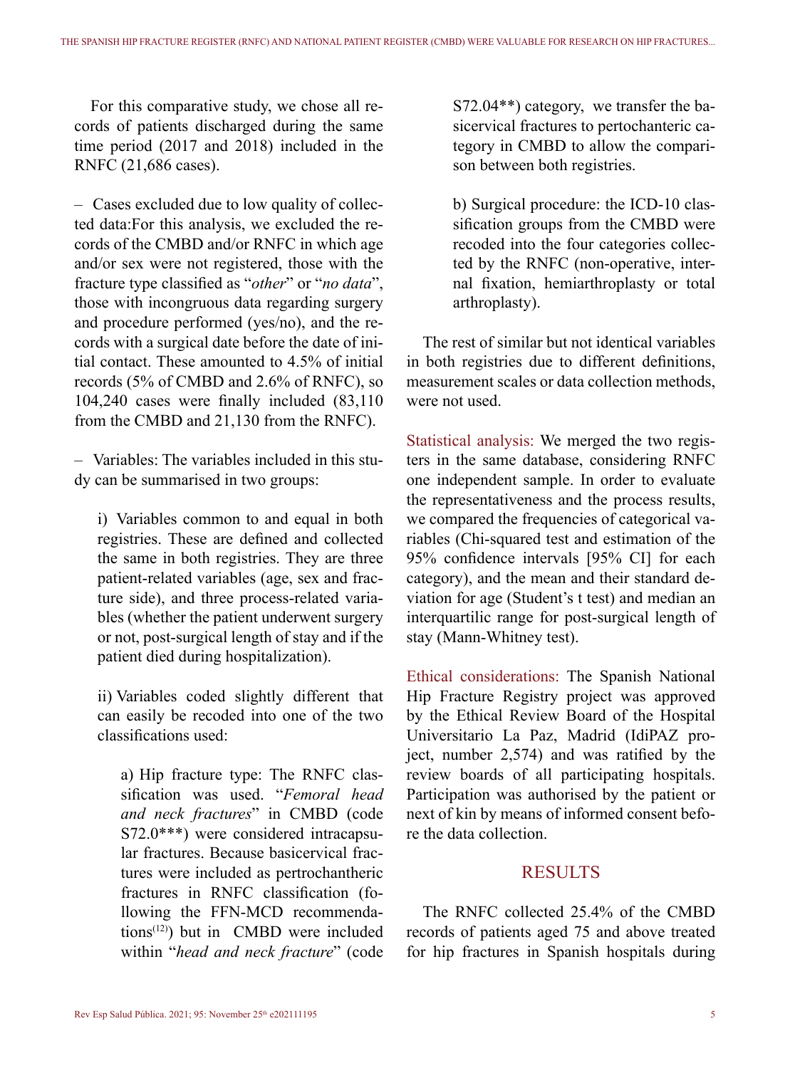For this comparative study, we chose all records of patients discharged during the same time period (2017 and 2018) included in the RNFC (21,686 cases).

– Cases excluded due to low quality of collected data:For this analysis, we excluded the records of the CMBD and/or RNFC in which age and/or sex were not registered, those with the fracture type classified as "*other*" or "*no data*", those with incongruous data regarding surgery and procedure performed (yes/no), and the records with a surgical date before the date of initial contact. These amounted to 4.5% of initial records (5% of CMBD and 2.6% of RNFC), so 104,240 cases were finally included (83,110 from the CMBD and 21,130 from the RNFC).

– Variables: The variables included in this study can be summarised in two groups:

i) Variables common to and equal in both registries. These are defined and collected the same in both registries. They are three patient-related variables (age, sex and fracture side), and three process-related variables (whether the patient underwent surgery or not, post-surgical length of stay and if the patient died during hospitalization).

ii) Variables coded slightly different that can easily be recoded into one of the two classifications used:

a) Hip fracture type: The RNFC classification was used. "*Femoral head and neck fractures*" in CMBD (code S72.0\*\*\*) were considered intracapsular fractures. Because basicervical fractures were included as pertrochantheric fractures in RNFC classification (following the FFN-MCD recommenda $tions<sup>(12)</sup>$  but in CMBD were included within "*head and neck fracture*" (code S72.04\*\*) category, we transfer the basicervical fractures to pertochanteric category in CMBD to allow the comparison between both registries.

b) Surgical procedure: the ICD-10 classification groups from the CMBD were recoded into the four categories collected by the RNFC (non-operative, internal fixation, hemiarthroplasty or total arthroplasty).

The rest of similar but not identical variables in both registries due to different definitions, measurement scales or data collection methods, were not used.

Statistical analysis: We merged the two registers in the same database, considering RNFC one independent sample. In order to evaluate the representativeness and the process results, we compared the frequencies of categorical variables (Chi-squared test and estimation of the 95% confidence intervals [95% CI] for each category), and the mean and their standard deviation for age (Student's t test) and median an interquartilic range for post-surgical length of stay (Mann-Whitney test).

Ethical considerations: The Spanish National Hip Fracture Registry project was approved by the Ethical Review Board of the Hospital Universitario La Paz, Madrid (IdiPAZ project, number 2,574) and was ratified by the review boards of all participating hospitals. Participation was authorised by the patient or next of kin by means of informed consent before the data collection.

#### **RESULTS**

The RNFC collected 25.4% of the CMBD records of patients aged 75 and above treated for hip fractures in Spanish hospitals during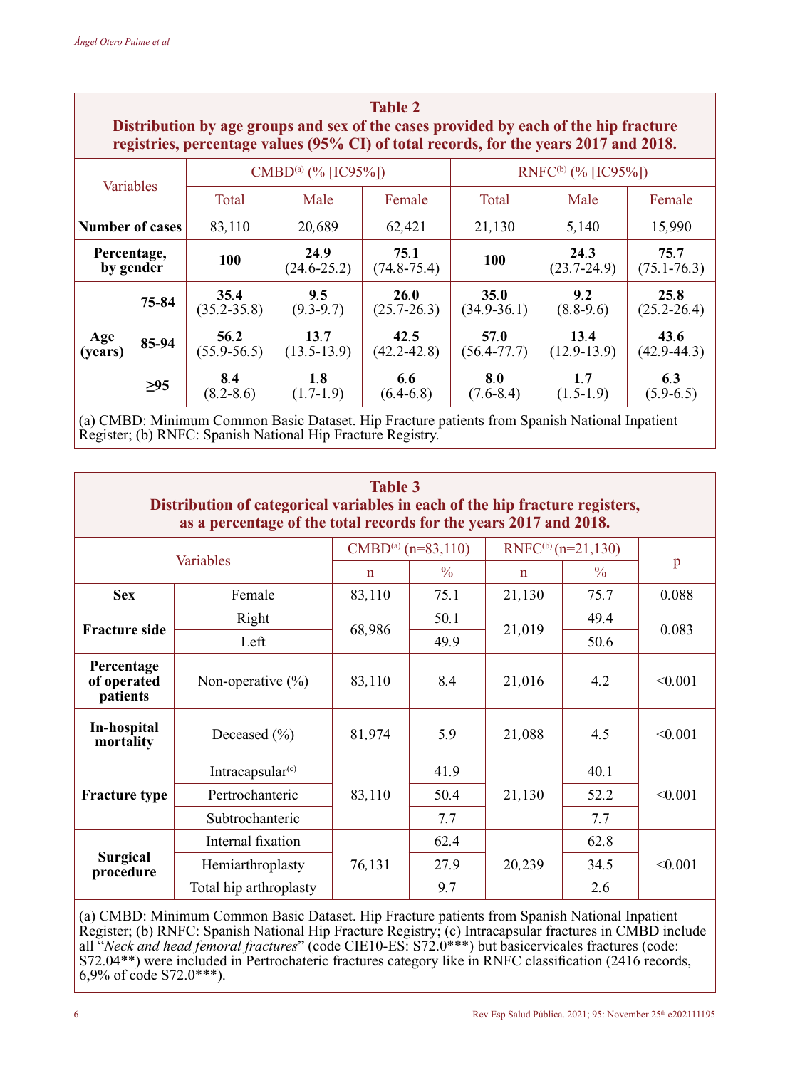| <b>Table 2</b><br>Distribution by age groups and sex of the cases provided by each of the hip fracture<br>registries, percentage values (95% CI) of total records, for the years 2017 and 2018. |       |                          |                         |                         |                          |                         |                         |  |
|-------------------------------------------------------------------------------------------------------------------------------------------------------------------------------------------------|-------|--------------------------|-------------------------|-------------------------|--------------------------|-------------------------|-------------------------|--|
| Variables<br>Total                                                                                                                                                                              |       | $CMBD^{(a)}$ (% [IC95%]) |                         |                         | $RNEC^{(b)}$ (% [IC95%]) |                         |                         |  |
|                                                                                                                                                                                                 |       |                          | Male                    | Female                  | Total                    | Male                    | Female                  |  |
| <b>Number of cases</b>                                                                                                                                                                          |       | 83,110                   | 20.689                  | 62.421                  | 21.130                   | 5.140                   | 15,990                  |  |
| Percentage,<br>by gender                                                                                                                                                                        |       | 100                      | 24.9<br>$(24.6 - 25.2)$ | 75.1<br>$(74.8 - 75.4)$ | 100                      | 24.3<br>$(23.7 - 24.9)$ | 75.7<br>$(75.1 - 76.3)$ |  |
| Age<br>(years)                                                                                                                                                                                  | 75-84 | 35.4<br>$(35.2 - 35.8)$  | 9.5<br>$(9.3-9.7)$      | 26.0<br>$(25.7 - 26.3)$ | 35.0<br>$(34.9 - 36.1)$  | 9.2<br>$(8.8-9.6)$      | 25.8<br>$(25.2 - 26.4)$ |  |
|                                                                                                                                                                                                 | 85-94 | 56.2<br>$(55.9 - 56.5)$  | 13.7<br>$(13.5 - 13.9)$ | 42.5<br>$(42.2 - 42.8)$ | 57.0<br>$(56.4 - 77.7)$  | 13.4<br>$(12.9 - 13.9)$ | 43.6<br>$(42.9 - 44.3)$ |  |
|                                                                                                                                                                                                 | >95   | 8.4<br>$(8.2 - 8.6)$     | 1.8<br>$(1.7-1.9)$      | 6.6<br>$(6.4-6.8)$      | 8.0<br>$(7.6 - 8.4)$     | 1.7<br>$(1.5-1.9)$      | 6.3<br>$(5.9-6.5)$      |  |

(a) CMBD: Minimum Common Basic Dataset. Hip Fracture patients from Spanish National Inpatient Register; (b) RNFC: Spanish National Hip Fracture Registry.

| <b>Table 3</b><br>Distribution of categorical variables in each of the hip fracture registers,<br>as a percentage of the total records for the years 2017 and 2018. |                        |                         |               |                                |               |         |
|---------------------------------------------------------------------------------------------------------------------------------------------------------------------|------------------------|-------------------------|---------------|--------------------------------|---------------|---------|
| Variables                                                                                                                                                           |                        | $CMBD^{(a)}$ (n=83,110) |               | RNFC <sup>(b)</sup> (n=21,130) |               |         |
|                                                                                                                                                                     |                        | $\mathbf n$             | $\frac{0}{0}$ | $\mathbf n$                    | $\frac{0}{0}$ | p       |
| <b>Sex</b>                                                                                                                                                          | Female                 | 83,110                  | 75.1          | 21,130                         | 75.7          | 0.088   |
| <b>Fracture side</b>                                                                                                                                                | Right                  |                         | 50.1          | 21,019                         | 49.4          | 0.083   |
|                                                                                                                                                                     | Left                   | 68,986                  | 49.9          |                                | 50.6          |         |
| Percentage<br>of operated<br>patients                                                                                                                               | Non-operative $(\% )$  | 83,110                  | 8.4           | 21,016                         | 4.2           | < 0.001 |
| In-hospital<br>mortality                                                                                                                                            | Deceased $(\% )$       | 81,974                  | 5.9           | 21,088                         | 4.5           | < 0.001 |
| <b>Fracture type</b>                                                                                                                                                | Intracapsular $(c)$    |                         | 41.9          | 21,130                         | 40.1          | < 0.001 |
|                                                                                                                                                                     | Pertrochanteric        | 83,110                  | 50.4          |                                | 52.2          |         |
|                                                                                                                                                                     | Subtrochanteric        |                         | 7.7           |                                | 7.7           |         |
| Surgical<br>procedure                                                                                                                                               | Internal fixation      | 76,131                  | 62.4          | 20,239                         | 62.8          | < 0.001 |
|                                                                                                                                                                     | Hemiarthroplasty       |                         | 27.9          |                                | 34.5          |         |
|                                                                                                                                                                     | Total hip arthroplasty |                         | 9.7           |                                | 2.6           |         |

(a) CMBD: Minimum Common Basic Dataset. Hip Fracture patients from Spanish National Inpatient Register; (b) RNFC: Spanish National Hip Fracture Registry; (c) Intracapsular fractures in CMBD include all "*Neck and head femoral fractures*" (code CIE10-ES: S72.0\*\*\*) but basicervicales fractures (code: S72.04\*\*) were included in Pertrochateric fractures category like in RNFC classification (2416 records, 6,9% of code S72.0\*\*\*).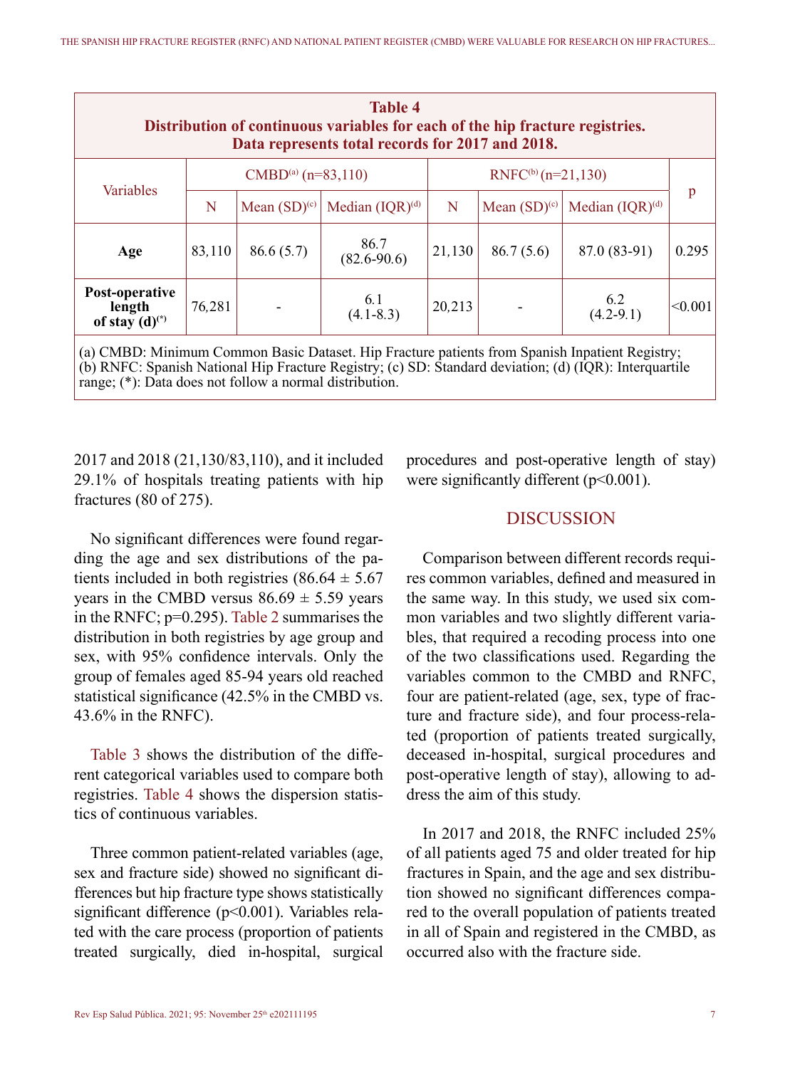| <b>Table 4</b><br>Distribution of continuous variables for each of the hip fracture registries.<br>Data represents total records for 2017 and 2018. |                                |                   |                         |                                |                   |                      |         |
|-----------------------------------------------------------------------------------------------------------------------------------------------------|--------------------------------|-------------------|-------------------------|--------------------------------|-------------------|----------------------|---------|
| Variables                                                                                                                                           | CMBD <sup>(a)</sup> (n=83,110) |                   |                         | RNFC <sup>(b)</sup> (n=21,130) |                   |                      |         |
|                                                                                                                                                     | N                              | Mean $(SD)^{(c)}$ | Median $(IOR)^{(d)}$    | N                              | Mean $(SD)^{(c)}$ | Median $(IOR)^{(d)}$ | p       |
| Age                                                                                                                                                 | 83,110                         | 86.6(5.7)         | 86.7<br>$(82.6 - 90.6)$ | 21,130                         | 86.7(5.6)         | 87.0 (83-91)         | 0.295   |
| Post-operative<br>length<br>of stay $(d)^{(*)}$                                                                                                     | 76.281                         |                   | 6.1<br>$(4.1 - 8.3)$    | 20,213                         |                   | $6.2$<br>(4.2-9.1)   | < 0.001 |
| (a) CMBD: Minimum Common Basic Dataset. Hip Fracture patients from Spanish Inpatient Registry;                                                      |                                |                   |                         |                                |                   |                      |         |

(b) RNFC: Spanish National Hip Fracture Registry; (c) SD: Standard deviation; (d) (IQR): Interquartile range; (\*): Data does not follow a normal distribution.

2017 and 2018 (21,130/83,110), and it included 29.1% of hospitals treating patients with hip fractures (80 of 275).

No significant differences were found regarding the age and sex distributions of the patients included in both registries  $(86.64 \pm 5.67)$ years in the CMBD versus  $86.69 \pm 5.59$  years in the RNFC; p=0.295). Table 2 summarises the distribution in both registries by age group and sex, with 95% confidence intervals. Only the group of females aged 85-94 years old reached statistical significance (42.5% in the CMBD vs. 43.6% in the RNFC).

Table 3 shows the distribution of the different categorical variables used to compare both registries. Table 4 shows the dispersion statistics of continuous variables.

Three common patient-related variables (age, sex and fracture side) showed no significant differences but hip fracture type shows statistically significant difference (p<0.001). Variables related with the care process (proportion of patients treated surgically, died in-hospital, surgical procedures and post-operative length of stay) were significantly different (p<0.001).

# DISCUSSION

Comparison between different records requires common variables, defined and measured in the same way. In this study, we used six common variables and two slightly different variables, that required a recoding process into one of the two classifications used. Regarding the variables common to the CMBD and RNFC, four are patient-related (age, sex, type of fracture and fracture side), and four process-related (proportion of patients treated surgically, deceased in-hospital, surgical procedures and post-operative length of stay), allowing to address the aim of this study.

In 2017 and 2018, the RNFC included 25% of all patients aged 75 and older treated for hip fractures in Spain, and the age and sex distribution showed no significant differences compared to the overall population of patients treated in all of Spain and registered in the CMBD, as occurred also with the fracture side.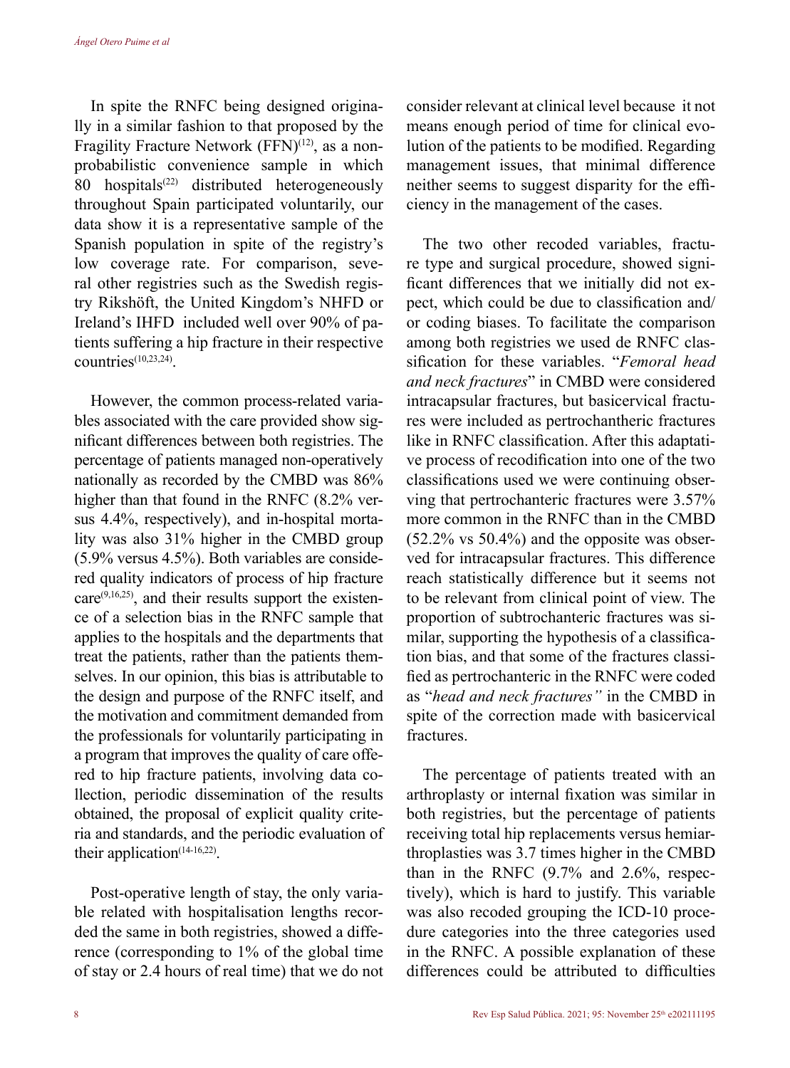In spite the RNFC being designed originally in a similar fashion to that proposed by the Fragility Fracture Network (FFN)<sup>(12)</sup>, as a nonprobabilistic convenience sample in which 80 hospitals<sup> $(22)$ </sup> distributed heterogeneously throughout Spain participated voluntarily, our data show it is a representative sample of the Spanish population in spite of the registry's low coverage rate. For comparison, several other registries such as the Swedish registry Rikshöft, the United Kingdom's NHFD or Ireland's IHFD included well over 90% of patients suffering a hip fracture in their respective  $countries<sup>(10,23,24)</sup>$ 

However, the common process-related variables associated with the care provided show significant differences between both registries. The percentage of patients managed non-operatively nationally as recorded by the CMBD was 86% higher than that found in the RNFC (8.2% versus 4.4%, respectively), and in-hospital mortality was also 31% higher in the CMBD group (5.9% versus 4.5%). Both variables are considered quality indicators of process of hip fracture  $care^{(9,16,25)}$ , and their results support the existence of a selection bias in the RNFC sample that applies to the hospitals and the departments that treat the patients, rather than the patients themselves. In our opinion, this bias is attributable to the design and purpose of the RNFC itself, and the motivation and commitment demanded from the professionals for voluntarily participating in a program that improves the quality of care offered to hip fracture patients, involving data collection, periodic dissemination of the results obtained, the proposal of explicit quality criteria and standards, and the periodic evaluation of their application $(14-16,22)$ .

Post-operative length of stay, the only variable related with hospitalisation lengths recorded the same in both registries, showed a difference (corresponding to 1% of the global time of stay or 2.4 hours of real time) that we do not consider relevant at clinical level because it not means enough period of time for clinical evolution of the patients to be modified. Regarding management issues, that minimal difference neither seems to suggest disparity for the efficiency in the management of the cases.

The two other recoded variables, fracture type and surgical procedure, showed significant differences that we initially did not expect, which could be due to classification and/ or coding biases. To facilitate the comparison among both registries we used de RNFC classification for these variables. "*Femoral head and neck fractures*" in CMBD were considered intracapsular fractures, but basicervical fractures were included as pertrochantheric fractures like in RNFC classification. After this adaptative process of recodification into one of the two classifications used we were continuing observing that pertrochanteric fractures were 3.57% more common in the RNFC than in the CMBD (52.2% vs 50.4%) and the opposite was observed for intracapsular fractures. This difference reach statistically difference but it seems not to be relevant from clinical point of view. The proportion of subtrochanteric fractures was similar, supporting the hypothesis of a classification bias, and that some of the fractures classified as pertrochanteric in the RNFC were coded as "*head and neck fractures"* in the CMBD in spite of the correction made with basicervical fractures.

The percentage of patients treated with an arthroplasty or internal fixation was similar in both registries, but the percentage of patients receiving total hip replacements versus hemiarthroplasties was 3.7 times higher in the CMBD than in the RNFC (9.7% and 2.6%, respectively), which is hard to justify. This variable was also recoded grouping the ICD-10 procedure categories into the three categories used in the RNFC. A possible explanation of these differences could be attributed to difficulties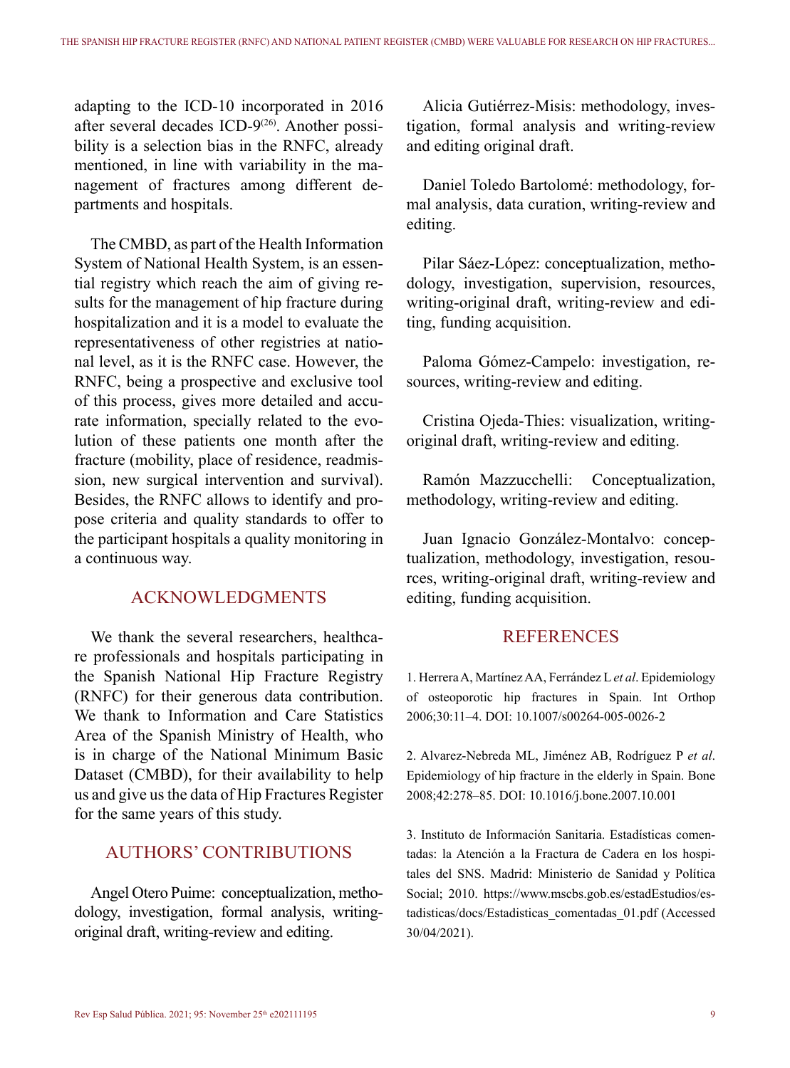adapting to the ICD-10 incorporated in 2016 after several decades ICD-9<sup>(26)</sup>. Another possibility is a selection bias in the RNFC, already mentioned, in line with variability in the management of fractures among different departments and hospitals.

The CMBD, as part of the Health Information System of National Health System, is an essential registry which reach the aim of giving results for the management of hip fracture during hospitalization and it is a model to evaluate the representativeness of other registries at national level, as it is the RNFC case. However, the RNFC, being a prospective and exclusive tool of this process, gives more detailed and accurate information, specially related to the evolution of these patients one month after the fracture (mobility, place of residence, readmission, new surgical intervention and survival). Besides, the RNFC allows to identify and propose criteria and quality standards to offer to the participant hospitals a quality monitoring in a continuous way.

# ACKNOWLEDGMENTS

We thank the several researchers, healthcare professionals and hospitals participating in the Spanish National Hip Fracture Registry (RNFC) for their generous data contribution. We thank to Information and Care Statistics Area of the Spanish Ministry of Health, who is in charge of the National Minimum Basic Dataset (CMBD), for their availability to help us and give us the data of Hip Fractures Register for the same years of this study.

## AUTHORS' CONTRIBUTIONS

Angel Otero Puime: conceptualization, methodology, investigation, formal analysis, writingoriginal draft, writing-review and editing.

Alicia Gutiérrez-Misis: methodology, investigation, formal analysis and writing-review and editing original draft.

Daniel Toledo Bartolomé: methodology, formal analysis, data curation, writing-review and editing.

Pilar Sáez-López: conceptualization, methodology, investigation, supervision, resources, writing-original draft, writing-review and editing, funding acquisition.

Paloma Gómez-Campelo: investigation, resources, writing-review and editing.

Cristina Ojeda-Thies: visualization, writingoriginal draft, writing-review and editing.

Ramón Mazzucchelli: Conceptualization, methodology, writing-review and editing.

Juan Ignacio González-Montalvo: conceptualization, methodology, investigation, resources, writing-original draft, writing-review and editing, funding acquisition.

# **REFERENCES**

1. Herrera A, Martínez AA, Ferrández L *et al*. Epidemiology of osteoporotic hip fractures in Spain. Int Orthop 2006;30:11–4. DOI: 10.1007/s00264-005-0026-2

2. Alvarez-Nebreda ML, Jiménez AB, Rodríguez P *et al*. Epidemiology of hip fracture in the elderly in Spain. Bone 2008;42:278–85. DOI: 10.1016/j.bone.2007.10.001

3. Instituto de Información Sanitaria. Estadísticas comentadas: la Atención a la Fractura de Cadera en los hospitales del SNS. Madrid: Ministerio de Sanidad y Política Social; 2010. https://www.mscbs.gob.es/estadEstudios/estadisticas/docs/Estadisticas\_comentadas\_01.pdf (Accessed 30/04/2021).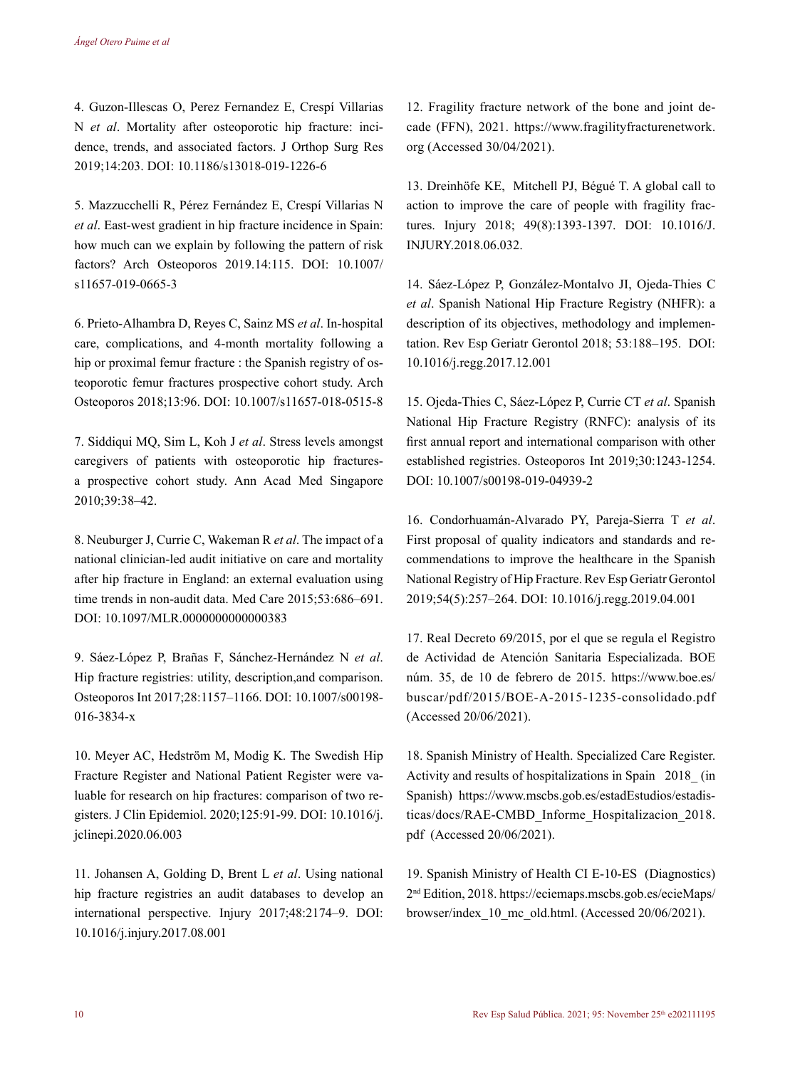4. Guzon-Illescas O, Perez Fernandez E, Crespí Villarias N *et al*. Mortality after osteoporotic hip fracture: incidence, trends, and associated factors. J Orthop Surg Res 2019;14:203. DOI: 10.1186/s13018-019-1226-6

5. Mazzucchelli R, Pérez Fernández E, Crespí Villarias N *et al*. East-west gradient in hip fracture incidence in Spain: how much can we explain by following the pattern of risk factors? Arch Osteoporos 2019.14:115. DOI: 10.1007/ s11657-019-0665-3

6. Prieto-Alhambra D, Reyes C, Sainz MS *et al*. In-hospital care, complications, and 4-month mortality following a hip or proximal femur fracture : the Spanish registry of osteoporotic femur fractures prospective cohort study. Arch Osteoporos 2018;13:96. DOI: 10.1007/s11657-018-0515-8

7. Siddiqui MQ, Sim L, Koh J *et al*. Stress levels amongst caregivers of patients with osteoporotic hip fracturesa prospective cohort study. Ann Acad Med Singapore 2010;39:38–42.

8. Neuburger J, Currie C, Wakeman R *et al*. The impact of a national clinician-led audit initiative on care and mortality after hip fracture in England: an external evaluation using time trends in non-audit data. Med Care 2015;53:686–691. DOI: 10.1097/MLR.0000000000000383

9. Sáez-López P, Brañas F, Sánchez-Hernández N *et al*. Hip fracture registries: utility, description,and comparison. Osteoporos Int 2017;28:1157–1166. DOI: 10.1007/s00198- 016-3834-x

10. Meyer AC, Hedström M, Modig K. The Swedish Hip Fracture Register and National Patient Register were valuable for research on hip fractures: comparison of two registers. J Clin Epidemiol. 2020;125:91-99. DOI: 10.1016/j. jclinepi.2020.06.003

11. Johansen A, Golding D, Brent L *et al*. Using national hip fracture registries an audit databases to develop an international perspective. Injury 2017;48:2174–9. DOI: 10.1016/j.injury.2017.08.001

12. Fragility fracture network of the bone and joint decade (FFN), 2021. https://www.fragilityfracturenetwork. org (Accessed 30/04/2021).

13. Dreinhöfe KE, Mitchell PJ, Bégué T. A global call to action to improve the care of people with fragility fractures. Injury 2018; 49(8):1393-1397. DOI: 10.1016/J. INJURY.2018.06.032.

14. Sáez-López P, González-Montalvo JI, Ojeda-Thies C *et al*. Spanish National Hip Fracture Registry (NHFR): a description of its objectives, methodology and implementation. Rev Esp Geriatr Gerontol 2018; 53:188–195. DOI: 10.1016/j.regg.2017.12.001

15. Ojeda-Thies C, Sáez-López P, Currie CT *et al*. Spanish National Hip Fracture Registry (RNFC): analysis of its first annual report and international comparison with other established registries. Osteoporos Int 2019;30:1243-1254. DOI: 10.1007/s00198-019-04939-2

16. Condorhuamán-Alvarado PY, Pareja-Sierra T *et al*. First proposal of quality indicators and standards and recommendations to improve the healthcare in the Spanish National Registry of Hip Fracture. Rev Esp Geriatr Gerontol 2019;54(5):257–264. DOI: 10.1016/j.regg.2019.04.001

17. Real Decreto 69/2015, por el que se regula el Registro de Actividad de Atención Sanitaria Especializada. BOE núm. 35, de 10 de febrero de 2015. https://www.boe.es/ buscar/pdf/2015/BOE-A-2015-1235-consolidado.pdf (Accessed 20/06/2021).

18. Spanish Ministry of Health. Specialized Care Register. Activity and results of hospitalizations in Spain 2018\_ (in Spanish) https://www.mscbs.gob.es/estadEstudios/estadisticas/docs/RAE-CMBD\_Informe\_Hospitalizacion\_2018. pdf (Accessed 20/06/2021).

19. Spanish Ministry of Health CI E-10-ES (Diagnostics) 2nd Edition, 2018. https://eciemaps.mscbs.gob.es/ecieMaps/ browser/index\_10\_mc\_old.html. (Accessed 20/06/2021).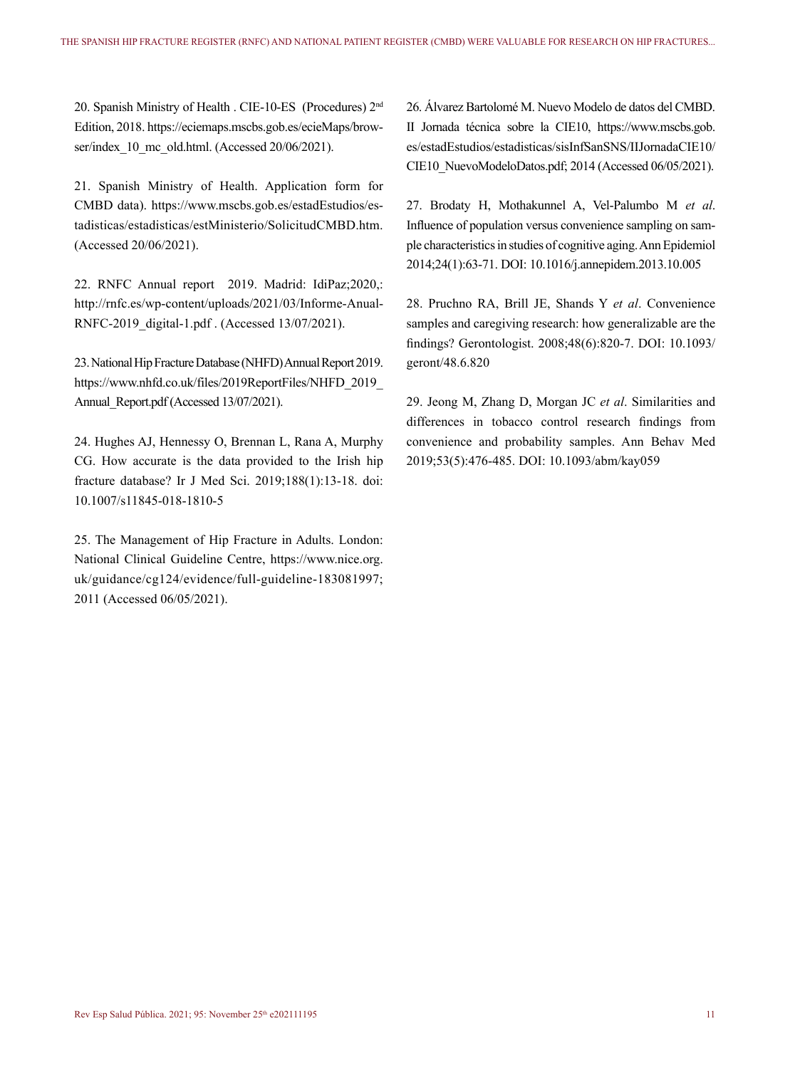20. Spanish Ministry of Health . CIE-10-ES (Procedures) 2nd Edition, 2018. https://eciemaps.mscbs.gob.es/ecieMaps/browser/index\_10\_mc\_old.html. (Accessed 20/06/2021).

21. Spanish Ministry of Health. Application form for CMBD data). https://www.mscbs.gob.es/estadEstudios/estadisticas/estadisticas/estMinisterio/SolicitudCMBD.htm. (Accessed 20/06/2021).

22. RNFC Annual report 2019. Madrid: IdiPaz;2020,: http://rnfc.es/wp-content/uploads/2021/03/Informe-Anual-RNFC-2019\_digital-1.pdf . (Accessed 13/07/2021).

23. National Hip Fracture Database (NHFD) Annual Report 2019. https://www.nhfd.co.uk/files/2019ReportFiles/NHFD\_2019\_ Annual Report.pdf (Accessed 13/07/2021).

24. Hughes AJ, Hennessy O, Brennan L, Rana A, Murphy CG. How accurate is the data provided to the Irish hip fracture database? Ir J Med Sci. 2019;188(1):13-18. doi: 10.1007/s11845-018-1810-5

25. The Management of Hip Fracture in Adults. London: National Clinical Guideline Centre, https://www.nice.org. uk/guidance/cg124/evidence/full-guideline-183081997; 2011 (Accessed 06/05/2021).

26. Álvarez Bartolomé M. Nuevo Modelo de datos del CMBD. II Jornada técnica sobre la CIE10, https://www.mscbs.gob. es/estadEstudios/estadisticas/sisInfSanSNS/IIJornadaCIE10/ CIE10\_NuevoModeloDatos.pdf; 2014 (Accessed 06/05/2021).

27. Brodaty H, Mothakunnel A, Vel-Palumbo M *et al*. Influence of population versus convenience sampling on sample characteristics in studies of cognitive aging. Ann Epidemiol 2014;24(1):63-71. DOI: 10.1016/j.annepidem.2013.10.005

28. Pruchno RA, Brill JE, Shands Y *et al*. Convenience samples and caregiving research: how generalizable are the findings? Gerontologist. 2008;48(6):820-7. DOI: 10.1093/ geront/48.6.820

29. Jeong M, Zhang D, Morgan JC *et al*. Similarities and differences in tobacco control research findings from convenience and probability samples. Ann Behav Med 2019;53(5):476-485. DOI: 10.1093/abm/kay059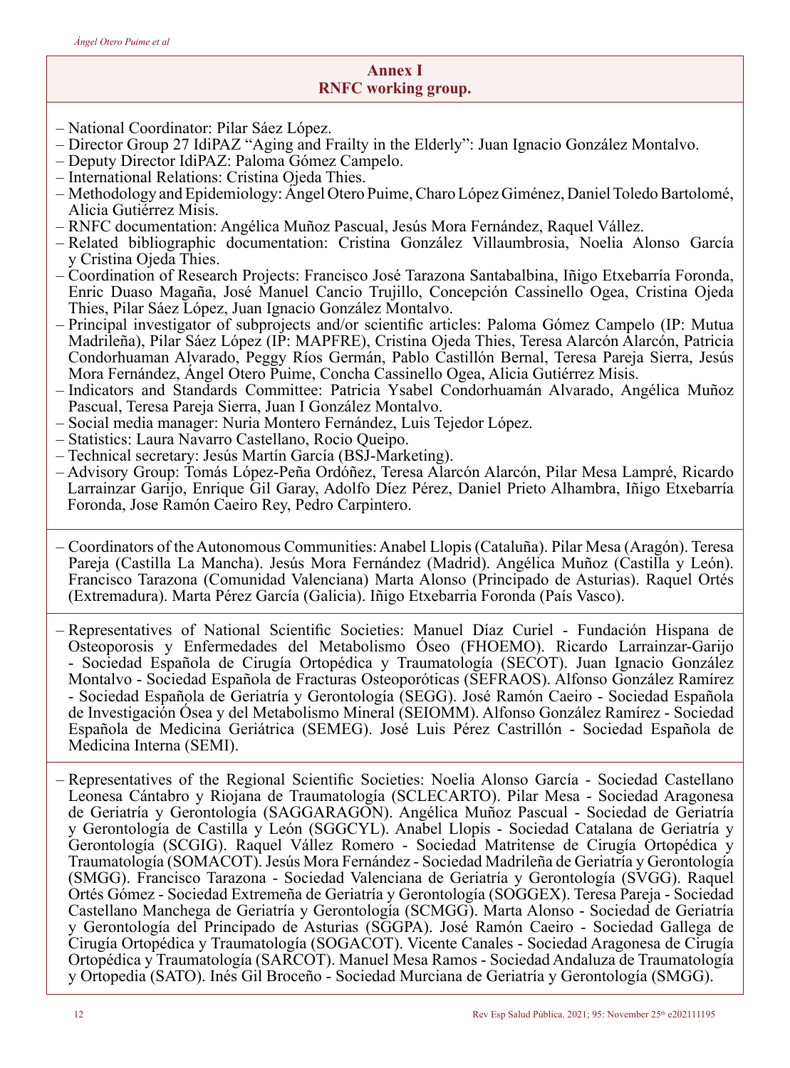# **Annex I RNFC working group.**

- National Coordinator: Pilar Sáez López.
- Director Group 27 IdiPAZ "Aging and Frailty in the Elderly": Juan Ignacio González Montalvo.
- Deputy Director IdiPAZ: Paloma Gómez Campelo.
- International Relations: Cristina Ojeda Thies.
- Methodology and Epidemiology: Ángel Otero Puime, Charo López Giménez, Daniel Toledo Bartolomé, Alicia Gutiérrez Misis.
- RNFC documentation: Angélica Muñoz Pascual, Jesús Mora Fernández, Raquel Vállez.
- Related bibliographic documentation: Cristina González Villaumbrosia, Noelia Alonso García y Cristina Ojeda Thies.
- Coordination of Research Projects: Francisco José Tarazona Santabalbina, Iñigo Etxebarría Foronda, Enric Duaso Magaña, José Manuel Cancio Trujillo, Concepción Cassinello Ogea, Cristina Ojeda Thies, Pilar Sáez López, Juan Ignacio González Montalvo.
- Principal investigator of subprojects and/or scientific articles: Paloma Gómez Campelo (IP: Mutua Madrileña), Pilar Sáez López (IP: MAPFRE), Cristina Ojeda Thies, Teresa Alarcón Alarcón, Patricia Condorhuaman Alvarado, Peggy Ríos Germán, Pablo Castillón Bernal, Teresa Pareja Sierra, Jesús Mora Fernández, Ángel Otero Puime, Concha Cassinello Ogea, Alicia Gutiérrez Misis.
- Indicators and Standards Committee: Patricia Ysabel Condorhuamán Alvarado, Angélica Muñoz Pascual, Teresa Pareja Sierra, Juan I González Montalvo.
- Social media manager: Nuria Montero Fernández, Luis Tejedor López.
- Statistics: Laura Navarro Castellano, Rocio Queipo.
- Technical secretary: Jesús Martín García (BSJ-Marketing).
- Advisory Group: Tomás López-Peña Ordóñez, Teresa Alarcón Alarcón, Pilar Mesa Lampré, Ricardo Larrainzar Garijo, Enrique Gil Garay, Adolfo Díez Pérez, Daniel Prieto Alhambra, Iñigo Etxebarría Foronda, Jose Ramón Caeiro Rey, Pedro Carpintero.
- Coordinators of the Autonomous Communities: Anabel Llopis (Cataluña). Pilar Mesa (Aragón). Teresa Pareja (Castilla La Mancha). Jesús Mora Fernández (Madrid). Angélica Muñoz (Castilla y León). Francisco Tarazona (Comunidad Valenciana) Marta Alonso (Principado de Asturias). Raquel Ortés (Extremadura). Marta Pérez García (Galicia). Iñigo Etxebarria Foronda (País Vasco).
- Representatives of National Scientific Societies: Manuel Díaz Curiel Fundación Hispana de Osteoporosis y Enfermedades del Metabolismo Óseo (FHOEMO). Ricardo Larrainzar-Garijo - Sociedad Española de Cirugía Ortopédica y Traumatología (SECOT). Juan Ignacio González Montalvo - Sociedad Española de Fracturas Osteoporóticas (SEFRAOS). Alfonso González Ramírez - Sociedad Española de Geriatría y Gerontología (SEGG). José Ramón Caeiro - Sociedad Española de Investigación Ósea y del Metabolismo Mineral (SEIOMM). Alfonso González Ramírez - Sociedad Española de Medicina Geriátrica (SEMEG). José Luis Pérez Castrillón - Sociedad Española de Medicina Interna (SEMI).
- Representatives of the Regional Scientific Societies: Noelia Alonso García Sociedad Castellano Leonesa Cántabro y Riojana de Traumatología (SCLECARTO). Pilar Mesa - Sociedad Aragonesa de Geriatría y Gerontología (SAGGARAGON). Angélica Muñoz Pascual - Sociedad de Geriatría y Gerontología de Castilla y León (SGGCYL). Anabel Llopis - Sociedad Catalana de Geriatría y Gerontología (SCGIG). Raquel Vállez Romero - Sociedad Matritense de Cirugía Ortopédica y Traumatología (SOMACOT). Jesús Mora Fernández - Sociedad Madrileña de Geriatría y Gerontología (SMGG). Francisco Tarazona - Sociedad Valenciana de Geriatría y Gerontología (SVGG). Raquel Ortés Gómez - Sociedad Extremeña de Geriatría y Gerontología (SOGGEX). Teresa Pareja - Sociedad Castellano Manchega de Geriatría y Gerontología (SCMGG). Marta Alonso - Sociedad de Geriatría y Gerontología del Principado de Asturias (SGGPA). José Ramón Caeiro - Sociedad Gallega de Cirugía Ortopédica y Traumatología (SOGACOT). Vicente Canales - Sociedad Aragonesa de Cirugía Ortopédica y Traumatología (SARCOT). Manuel Mesa Ramos - Sociedad Andaluza de Traumatología y Ortopedia (SATO). Inés Gil Broceño - Sociedad Murciana de Geriatría y Gerontología (SMGG).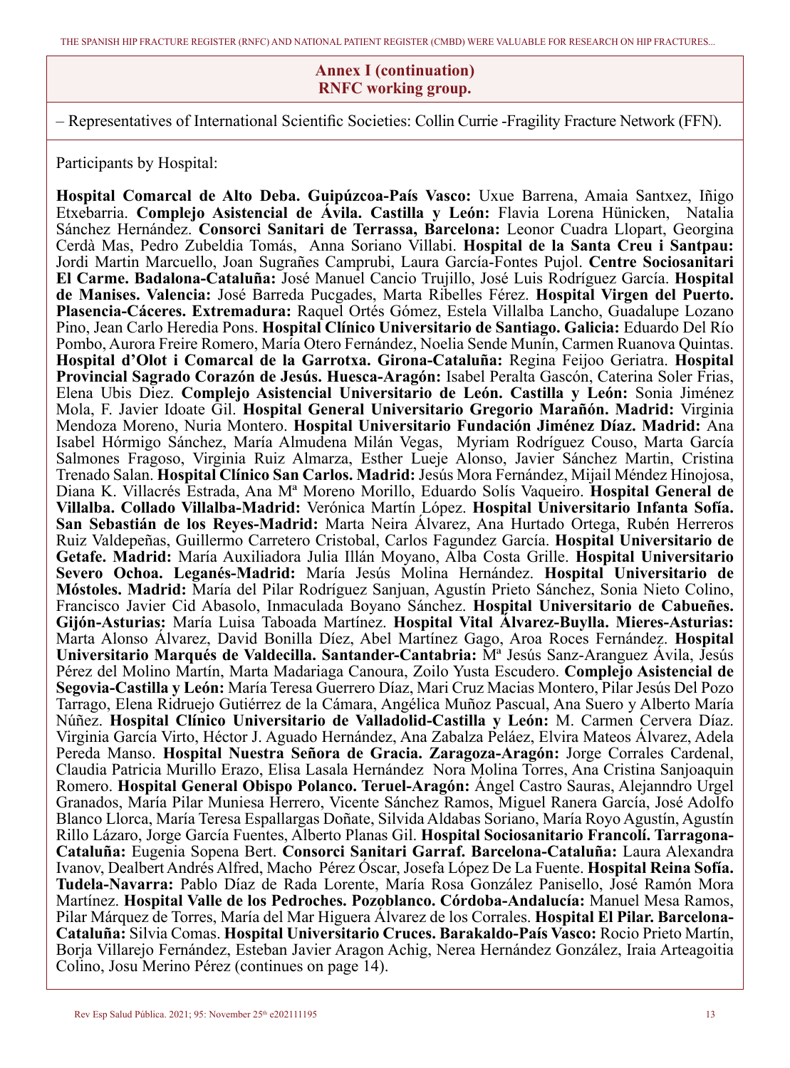#### **Annex I (continuation) RNFC working group.**

– Representatives of International Scientific Societies: Collin Currie -Fragility Fracture Network (FFN).

Participants by Hospital:

**Hospital Comarcal de Alto Deba. Guipúzcoa-País Vasco:** Uxue Barrena, Amaia Santxez, Iñigo Etxebarria. **Complejo Asistencial de Ávila. Castilla y León:** Flavia Lorena Hünicken, Natalia Sánchez Hernández. **Consorci Sanitari de Terrassa, Barcelona:** Leonor Cuadra Llopart, Georgina Cerdà Mas, Pedro Zubeldia Tomás, Anna Soriano Villabi. **Hospital de la Santa Creu i Santpau:** Jordi Martin Marcuello, Joan Sugrañes Camprubi, Laura García-Fontes Pujol. **Centre Sociosanitari El Carme. Badalona-Cataluña:** José Manuel Cancio Trujillo, José Luis Rodríguez García. **Hospital de Manises. Valencia:** José Barreda Pucgades, Marta Ribelles Férez. **Hospital Virgen del Puerto. Plasencia-Cáceres. Extremadura:** Raquel Ortés Gómez, Estela Villalba Lancho, Guadalupe Lozano Pino, Jean Carlo Heredia Pons. **Hospital Clínico Universitario de Santiago. Galicia:** Eduardo Del Río Pombo, Aurora Freire Romero, María Otero Fernández, Noelia Sende Munín, Carmen Ruanova Quintas. **Hospital d'Olot i Comarcal de la Garrotxa. Girona-Cataluña:** Regina Feijoo Geriatra. **Hospital Provincial Sagrado Corazón de Jesús. Huesca-Aragón:** Isabel Peralta Gascón, Caterina Soler Frias, Elena Ubis Diez. **Complejo Asistencial Universitario de León. Castilla y León:** Sonia Jiménez Mola, F. Javier Idoate Gil. **Hospital General Universitario Gregorio Marañón. Madrid:** Virginia Mendoza Moreno, Nuria Montero. **Hospital Universitario Fundación Jiménez Díaz. Madrid:** Ana Isabel Hórmigo Sánchez, María Almudena Milán Vegas, Myriam Rodríguez Couso, Marta García Salmones Fragoso, Virginia Ruiz Almarza, Esther Lueje Alonso, Javier Sánchez Martin, Cristina Trenado Salan. **Hospital Clínico San Carlos. Madrid:** Jesús Mora Fernández, Mijail Méndez Hinojosa, Diana K. Villacrés Estrada, Ana Mª Moreno Morillo, Eduardo Solís Vaqueiro. **Hospital General de Villalba. Collado Villalba-Madrid:** Verónica Martín López. **Hospital Universitario Infanta Sofía. San Sebastián de los Reyes-Madrid:** Marta Neira Álvarez, Ana Hurtado Ortega, Rubén Herreros Ruiz Valdepeñas, Guillermo Carretero Cristobal, Carlos Fagundez García. **Hospital Universitario de Getafe. Madrid:** María Auxiliadora Julia Illán Moyano, Alba Costa Grille. **Hospital Universitario Severo Ochoa. Leganés-Madrid:** María Jesús Molina Hernández. **Hospital Universitario de Móstoles. Madrid:** María del Pilar Rodríguez Sanjuan, Agustín Prieto Sánchez, Sonia Nieto Colino, Francisco Javier Cid Abasolo, Inmaculada Boyano Sánchez. **Hospital Universitario de Cabueñes. Gijón-Asturias:** María Luisa Taboada Martínez. **Hospital Vital Álvarez-Buylla. Mieres-Asturias:** Marta Alonso Álvarez, David Bonilla Díez, Abel Martínez Gago, Aroa Roces Fernández. **Hospital Universitario Marqués de Valdecilla. Santander-Cantabria:** Mª Jesús Sanz-Aranguez Ávila, Jesús Pérez del Molino Martín, Marta Madariaga Canoura, Zoilo Yusta Escudero. **Complejo Asistencial de Segovia-Castilla y León:** María Teresa Guerrero Díaz, Mari Cruz Macias Montero, Pilar Jesús Del Pozo Tarrago, Elena Ridruejo Gutiérrez de la Cámara, Angélica Muñoz Pascual, Ana Suero y Alberto María Núñez. **Hospital Clínico Universitario de Valladolid-Castilla y León:** M. Carmen Cervera Díaz. Virginia García Virto, Héctor J. Aguado Hernández, Ana Zabalza Peláez, Elvira Mateos Álvarez, Adela Pereda Manso. **Hospital Nuestra Señora de Gracia. Zaragoza-Aragón:** Jorge Corrales Cardenal, Claudia Patricia Murillo Erazo, Elisa Lasala Hernández Nora Molina Torres, Ana Cristina Sanjoaquin Romero. **Hospital General Obispo Polanco. Teruel-Aragón:** Ángel Castro Sauras, Alejanndro Urgel Granados, María Pilar Muniesa Herrero, Vicente Sánchez Ramos, Miguel Ranera García, José Adolfo Blanco Llorca, María Teresa Espallargas Doñate, Silvida Aldabas Soriano, María Royo Agustín, Agustín Rillo Lázaro, Jorge García Fuentes, Alberto Planas Gil. **Hospital Sociosanitario Francolí. Tarragona-Cataluña:** Eugenia Sopena Bert. **Consorci Sanitari Garraf. Barcelona-Cataluña:** Laura Alexandra Ivanov, Dealbert Andrés Alfred, Macho Pérez Óscar, Josefa López De La Fuente. **Hospital Reina Sofía. Tudela-Navarra:** Pablo Díaz de Rada Lorente, María Rosa González Panisello, José Ramón Mora Martínez. **Hospital Valle de los Pedroches. Pozoblanco. Córdoba-Andalucía:** Manuel Mesa Ramos, Pilar Márquez de Torres, María del Mar Higuera Álvarez de los Corrales. **Hospital El Pilar. Barcelona-Cataluña:** Silvia Comas. **Hospital Universitario Cruces. Barakaldo-País Vasco:** Rocio Prieto Martín, Borja Villarejo Fernández, Esteban Javier Aragon Achig, Nerea Hernández González, Iraia Arteagoitia Colino, Josu Merino Pérez (continues on page 14).